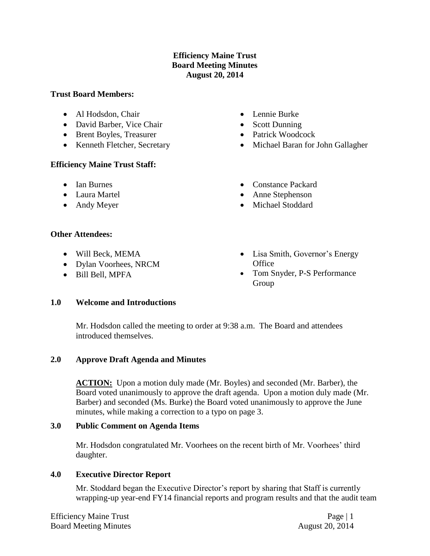### **Efficiency Maine Trust Board Meeting Minutes August 20, 2014**

#### **Trust Board Members:**

- Al Hodsdon, Chair
- David Barber, Vice Chair
- Brent Boyles, Treasurer
- Kenneth Fletcher, Secretary

### **Efficiency Maine Trust Staff:**

- Ian Burnes
- Laura Martel
- Andy Meyer

### **Other Attendees:**

- Will Beck, MEMA
- Dylan Voorhees, NRCM
- Bill Bell, MPFA
- Lennie Burke
- Scott Dunning
- Patrick Woodcock
- Michael Baran for John Gallagher
- Constance Packard
- Anne Stephenson
- Michael Stoddard
- Lisa Smith, Governor's Energy **Office**
- Tom Snyder, P-S Performance Group

### **1.0 Welcome and Introductions**

Mr. Hodsdon called the meeting to order at 9:38 a.m. The Board and attendees introduced themselves.

# **2.0 Approve Draft Agenda and Minutes**

**ACTION:** Upon a motion duly made (Mr. Boyles) and seconded (Mr. Barber), the Board voted unanimously to approve the draft agenda. Upon a motion duly made (Mr. Barber) and seconded (Ms. Burke) the Board voted unanimously to approve the June minutes, while making a correction to a typo on page 3.

### **3.0 Public Comment on Agenda Items**

Mr. Hodsdon congratulated Mr. Voorhees on the recent birth of Mr. Voorhees' third daughter.

### **4.0 Executive Director Report**

Mr. Stoddard began the Executive Director's report by sharing that Staff is currently wrapping-up year-end FY14 financial reports and program results and that the audit team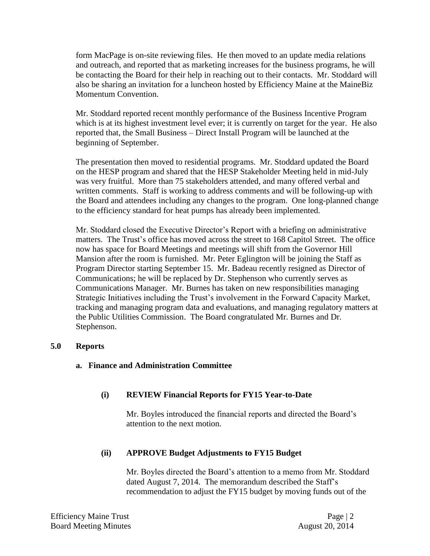form MacPage is on-site reviewing files. He then moved to an update media relations and outreach, and reported that as marketing increases for the business programs, he will be contacting the Board for their help in reaching out to their contacts. Mr. Stoddard will also be sharing an invitation for a luncheon hosted by Efficiency Maine at the MaineBiz Momentum Convention.

Mr. Stoddard reported recent monthly performance of the Business Incentive Program which is at its highest investment level ever; it is currently on target for the year. He also reported that, the Small Business – Direct Install Program will be launched at the beginning of September.

The presentation then moved to residential programs. Mr. Stoddard updated the Board on the HESP program and shared that the HESP Stakeholder Meeting held in mid-July was very fruitful. More than 75 stakeholders attended, and many offered verbal and written comments. Staff is working to address comments and will be following-up with the Board and attendees including any changes to the program. One long-planned change to the efficiency standard for heat pumps has already been implemented.

Mr. Stoddard closed the Executive Director's Report with a briefing on administrative matters. The Trust's office has moved across the street to 168 Capitol Street. The office now has space for Board Meetings and meetings will shift from the Governor Hill Mansion after the room is furnished. Mr. Peter Eglington will be joining the Staff as Program Director starting September 15. Mr. Badeau recently resigned as Director of Communications; he will be replaced by Dr. Stephenson who currently serves as Communications Manager. Mr. Burnes has taken on new responsibilities managing Strategic Initiatives including the Trust's involvement in the Forward Capacity Market, tracking and managing program data and evaluations, and managing regulatory matters at the Public Utilities Commission. The Board congratulated Mr. Burnes and Dr. Stephenson.

#### **5.0 Reports**

#### **a. Finance and Administration Committee**

### **(i) REVIEW Financial Reports for FY15 Year-to-Date**

Mr. Boyles introduced the financial reports and directed the Board's attention to the next motion.

### **(ii) APPROVE Budget Adjustments to FY15 Budget**

Mr. Boyles directed the Board's attention to a memo from Mr. Stoddard dated August 7, 2014. The memorandum described the Staff's recommendation to adjust the FY15 budget by moving funds out of the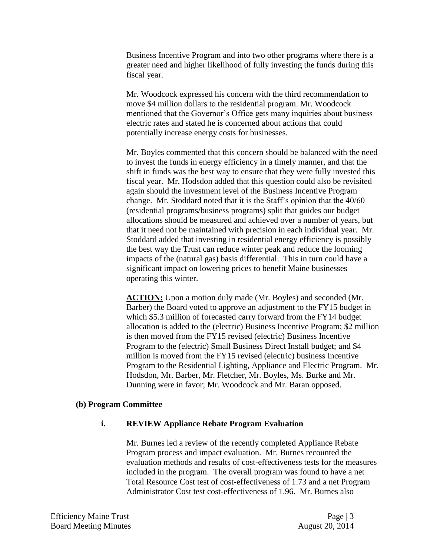Business Incentive Program and into two other programs where there is a greater need and higher likelihood of fully investing the funds during this fiscal year.

Mr. Woodcock expressed his concern with the third recommendation to move \$4 million dollars to the residential program. Mr. Woodcock mentioned that the Governor's Office gets many inquiries about business electric rates and stated he is concerned about actions that could potentially increase energy costs for businesses.

Mr. Boyles commented that this concern should be balanced with the need to invest the funds in energy efficiency in a timely manner, and that the shift in funds was the best way to ensure that they were fully invested this fiscal year. Mr. Hodsdon added that this question could also be revisited again should the investment level of the Business Incentive Program change. Mr. Stoddard noted that it is the Staff's opinion that the 40/60 (residential programs/business programs) split that guides our budget allocations should be measured and achieved over a number of years, but that it need not be maintained with precision in each individual year. Mr. Stoddard added that investing in residential energy efficiency is possibly the best way the Trust can reduce winter peak and reduce the looming impacts of the (natural gas) basis differential. This in turn could have a significant impact on lowering prices to benefit Maine businesses operating this winter.

**ACTION:** Upon a motion duly made (Mr. Boyles) and seconded (Mr. Barber) the Board voted to approve an adjustment to the FY15 budget in which \$5.3 million of forecasted carry forward from the FY14 budget allocation is added to the (electric) Business Incentive Program; \$2 million is then moved from the FY15 revised (electric) Business Incentive Program to the (electric) Small Business Direct Install budget; and \$4 million is moved from the FY15 revised (electric) business Incentive Program to the Residential Lighting, Appliance and Electric Program. Mr. Hodsdon, Mr. Barber, Mr. Fletcher, Mr. Boyles, Ms. Burke and Mr. Dunning were in favor; Mr. Woodcock and Mr. Baran opposed.

#### **(b) Program Committee**

#### **i. REVIEW Appliance Rebate Program Evaluation**

Mr. Burnes led a review of the recently completed Appliance Rebate Program process and impact evaluation. Mr. Burnes recounted the evaluation methods and results of cost-effectiveness tests for the measures included in the program. The overall program was found to have a net Total Resource Cost test of cost-effectiveness of 1.73 and a net Program Administrator Cost test cost-effectiveness of 1.96. Mr. Burnes also